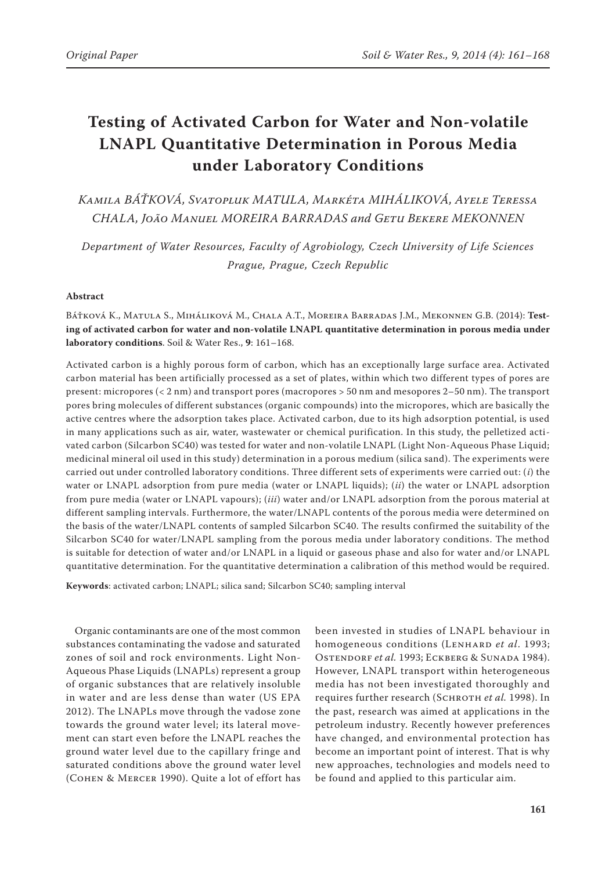# **Testing of Activated Carbon for Water and Non-volatile LNAPL Quantitative Determination in Porous Media under Laboratory Conditions**

*Kamila BÁŤKOVÁ, Svatopluk MATULA, Markéta MIHÁLIKOVÁ, Ayele Teressa CHALA, João Manuel MOREIRA BARRADAS and Getu Bekere MEKONNEN*

*Department of Water Resources, Faculty of Agrobiology, Czech University of Life Sciences Prague, Prague, Czech Republic* 

## **Abstract**

## Báťková K., Matula S., Miháliková M., Chala A.T., Moreira Barradas J.M., Mekonnen G.B. (2014): **Testing of activated carbon for water and non-volatile LNAPL quantitative determination in porous media under laboratory conditions**. Soil & Water Res., **9**: 161–168.

Activated carbon is a highly porous form of carbon, which has an exceptionally large surface area. Activated carbon material has been artificially processed as a set of plates, within which two different types of pores are present: micropores (< 2 nm) and transport pores (macropores > 50 nm and mesopores 2–50 nm). The transport pores bring molecules of different substances (organic compounds) into the micropores, which are basically the active centres where the adsorption takes place. Activated carbon, due to its high adsorption potential, is used in many applications such as air, water, wastewater or chemical purification. In this study, the pelletized activated carbon (Silcarbon SC40) was tested for water and non-volatile LNAPL (Light Non-Aqueous Phase Liquid; medicinal mineral oil used in this study) determination in a porous medium (silica sand). The experiments were carried out under controlled laboratory conditions. Three different sets of experiments were carried out: (*i*) the water or LNAPL adsorption from pure media (water or LNAPL liquids); (*ii*) the water or LNAPL adsorption from pure media (water or LNAPL vapours); (*iii*) water and/or LNAPL adsorption from the porous material at different sampling intervals. Furthermore, the water/LNAPL contents of the porous media were determined on the basis of the water/LNAPL contents of sampled Silcarbon SC40. The results confirmed the suitability of the Silcarbon SC40 for water/LNAPL sampling from the porous media under laboratory conditions. The method is suitable for detection of water and/or LNAPL in a liquid or gaseous phase and also for water and/or LNAPL quantitative determination. For the quantitative determination a calibration of this method would be required.

**Keywords**: activated carbon; LNAPL; silica sand; Silcarbon SC40; sampling interval

Organic contaminants are one of the most common substances contaminating the vadose and saturated zones of soil and rock environments. Light Non-Aqueous Phase Liquids (LNAPLs) represent a group of organic substances that are relatively insoluble in water and are less dense than water (US EPA 2012). The LNAPLs move through the vadose zone towards the ground water level; its lateral movement can start even before the LNAPL reaches the ground water level due to the capillary fringe and saturated conditions above the ground water level (Cohen & Mercer 1990). Quite a lot of effort has

been invested in studies of LNAPL behaviour in homogeneous conditions (Lenhard *et al*. 1993; OSTENDORF *et al.* 1993; ECKBERG & SUNADA 1984). However, LNAPL transport within heterogeneous media has not been investigated thoroughly and requires further research (SCHROTH *et al.* 1998). In the past, research was aimed at applications in the petroleum industry. Recently however preferences have changed, and environmental protection has become an important point of interest. That is why new approaches, technologies and models need to be found and applied to this particular aim.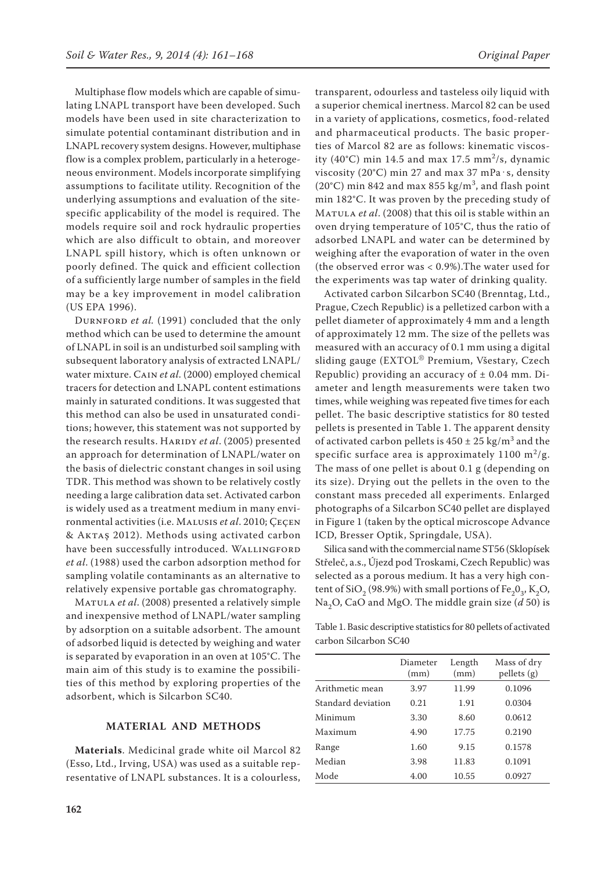Multiphase flow models which are capable of simulating LNAPL transport have been developed. Such models have been used in site characterization to simulate potential contaminant distribution and in LNAPL recovery system designs. However, multiphase flow is a complex problem, particularly in a heterogeneous environment. Models incorporate simplifying assumptions to facilitate utility. Recognition of the underlying assumptions and evaluation of the sitespecific applicability of the model is required. The models require soil and rock hydraulic properties which are also difficult to obtain, and moreover LNAPL spill history, which is often unknown or poorly defined. The quick and efficient collection of a sufficiently large number of samples in the field may be a key improvement in model calibration (US EPA 1996).

DURNFORD *et al.* (1991) concluded that the only method which can be used to determine the amount of LNAPL in soil is an undisturbed soil sampling with subsequent laboratory analysis of extracted LNAPL/ water mixture. Cain *et al*. (2000) employed chemical tracers for detection and LNAPL content estimations mainly in saturated conditions. It was suggested that this method can also be used in unsaturated conditions; however, this statement was not supported by the research results. HARIDY et al. (2005) presented an approach for determination of LNAPL/water on the basis of dielectric constant changes in soil using TDR. This method was shown to be relatively costly needing a large calibration data set. Activated carbon is widely used as a treatment medium in many environmental activities (i.e. Malusis *et al*. 2010; ÇeÇen & Aktaş 2012). Methods using activated carbon have been successfully introduced. WALLINGFORD *et al*. (1988) used the carbon adsorption method for sampling volatile contaminants as an alternative to relatively expensive portable gas chromatography.

Matula *et al*. (2008) presented a relatively simple and inexpensive method of LNAPL/water sampling by adsorption on a suitable adsorbent. The amount of adsorbed liquid is detected by weighing and water is separated by evaporation in an oven at 105°C. The main aim of this study is to examine the possibilities of this method by exploring properties of the adsorbent, which is Silcarbon SC40.

## **MATERIAL AND METHODS**

**Materials**. Medicinal grade white oil Marcol 82 (Esso, Ltd., Irving, USA) was used as a suitable representative of LNAPL substances. It is a colourless,

transparent, odourless and tasteless oily liquid with a superior chemical inertness. Marcol 82 can be used in a variety of applications, cosmetics, food-related and pharmaceutical products. The basic properties of Marcol 82 are as follows: kinematic viscosity (40°C) min 14.5 and max 17.5 mm<sup>2</sup>/s, dynamic viscosity (20°C) min 27 and max 37 mPa $\cdot$ s, density (20°C) min 842 and max 855 kg/m<sup>3</sup>, and flash point min 182°C. It was proven by the preceding study of Matula *et al*. (2008) that this oil is stable within an oven drying temperature of 105°C, thus the ratio of adsorbed LNAPL and water can be determined by weighing after the evaporation of water in the oven (the observed error was < 0.9%).The water used for the experiments was tap water of drinking quality.

Activated carbon Silcarbon SC40 (Brenntag, Ltd., Prague, Czech Republic) is a pelletized carbon with a pellet diameter of approximately 4 mm and a length of approximately 12 mm. The size of the pellets was measured with an accuracy of 0.1 mm using a digital sliding gauge (EXTOL® Premium, Všestary, Czech Republic) providing an accuracy of  $\pm$  0.04 mm. Diameter and length measurements were taken two times, while weighing was repeated five times for each pellet. The basic descriptive statistics for 80 tested pellets is presented in Table 1. The apparent density of activated carbon pellets is  $450 \pm 25$  kg/m<sup>3</sup> and the specific surface area is approximately  $1100 \text{ m}^2/\text{g}$ . The mass of one pellet is about 0.1 g (depending on its size). Drying out the pellets in the oven to the constant mass preceded all experiments. Enlarged photographs of a Silcarbon SC40 pellet are displayed in Figure 1 (taken by the optical microscope Advance ICD, Bresser Optik, Springdale, USA).

Silica sand with the commercial name ST56 (Sklopísek Střeleč, a.s., Újezd pod Troskami, Czech Republic) was selected as a porous medium. It has a very high content of SiO<sub>2</sub> (98.9%) with small portions of Fe<sub>2</sub>O<sub>3</sub>, K<sub>2</sub>O, Na<sub>2</sub>O, CaO and MgO. The middle grain size (*d* 50) is

Table 1. Basic descriptive statistics for 80 pellets of activated carbon Silcarbon SC40

|                    | Diameter<br>(mm) | Length<br>(mm) | Mass of dry<br>pellets (g) |
|--------------------|------------------|----------------|----------------------------|
| Arithmetic mean    | 3.97             | 11.99          | 0.1096                     |
| Standard deviation | 0.21             | 1.91           | 0.0304                     |
| Minimum            | 3.30             | 8.60           | 0.0612                     |
| Maximum            | 4.90             | 17.75          | 0.2190                     |
| Range              | 1.60             | 9.15           | 0.1578                     |
| Median             | 3.98             | 11.83          | 0.1091                     |
| Mode               | 4.00             | 10.55          | 0.0927                     |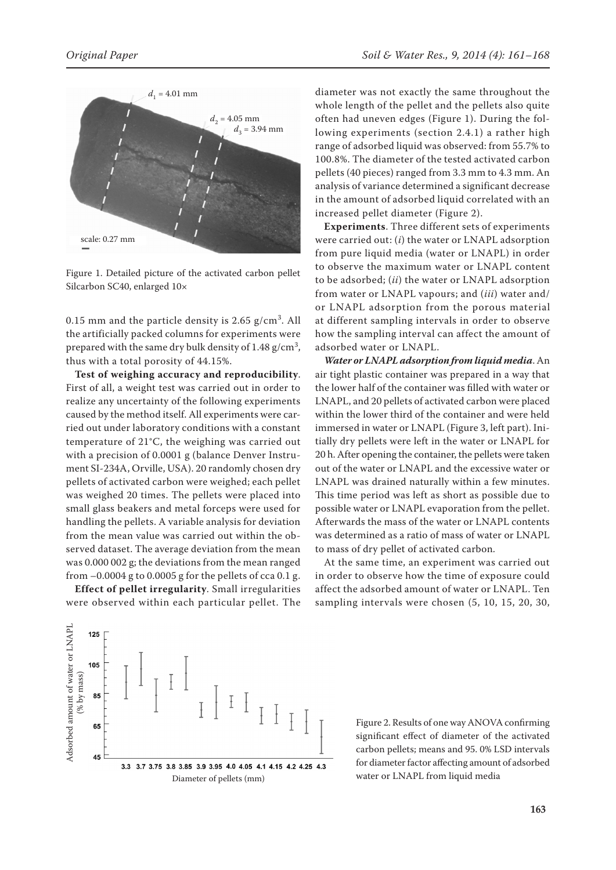

Figure 1. Detailed picture of the activated carbon pellet Silcarbon SC40, enlarged 10×

0.15 mm and the particle density is 2.65  $g/cm^3$ . All the artificially packed columns for experiments were prepared with the same dry bulk density of 1.48 g/cm $^3\!$ , thus with a total porosity of 44.15%.

**Test of weighing accuracy and reproducibility**. First of all, a weight test was carried out in order to realize any uncertainty of the following experiments caused by the method itself. All experiments were carried out under laboratory conditions with a constant temperature of 21°C, the weighing was carried out with a precision of 0.0001 g (balance Denver Instrument SI-234A, Orville, USA). 20 randomly chosen dry pellets of activated carbon were weighed; each pellet was weighed 20 times. The pellets were placed into small glass beakers and metal forceps were used for handling the pellets. A variable analysis for deviation from the mean value was carried out within the observed dataset. The average deviation from the mean was 0.000 002 g; the deviations from the mean ranged from  $-0.0004$  g to 0.0005 g for the pellets of cca 0.1 g.

**Effect of pellet irregularity**. Small irregularities were observed within each particular pellet. The

diameter was not exactly the same throughout the whole length of the pellet and the pellets also quite often had uneven edges (Figure 1). During the following experiments (section 2.4.1) a rather high range of adsorbed liquid was observed: from 55.7% to 100.8%. The diameter of the tested activated carbon pellets (40 pieces) ranged from 3.3 mm to 4.3 mm. An analysis of variance determined a significant decrease in the amount of adsorbed liquid correlated with an increased pellet diameter (Figure 2).

**Experiments**. Three different sets of experiments were carried out: (*i*) the water or LNAPL adsorption from pure liquid media (water or LNAPL) in order to observe the maximum water or LNAPL content to be adsorbed; (*ii*) the water or LNAPL adsorption from water or LNAPL vapours; and (*iii*) water and/ or LNAPL adsorption from the porous material at different sampling intervals in order to observe how the sampling interval can affect the amount of adsorbed water or LNAPL.

*Water or LNAPL adsorption from liquid media*. An air tight plastic container was prepared in a way that the lower half of the container was filled with water or LNAPL, and 20 pellets of activated carbon were placed within the lower third of the container and were held immersed in water or LNAPL (Figure 3, left part). Initially dry pellets were left in the water or LNAPL for 20 h. After opening the container, the pellets were taken out of the water or LNAPL and the excessive water or LNAPL was drained naturally within a few minutes. This time period was left as short as possible due to possible water or LNAPL evaporation from the pellet. Afterwards the mass of the water or LNAPL contents was determined as a ratio of mass of water or LNAPL to mass of dry pellet of activated carbon.

At the same time, an experiment was carried out in order to observe how the time of exposure could affect the adsorbed amount of water or LNAPL. Ten sampling intervals were chosen (5, 10, 15, 20, 30,



Figure 2. Results of one way ANOVA confirming significant effect of diameter of the activated carbon pellets; means and 95. 0% LSD intervals for diameter factor affecting amount of adsorbed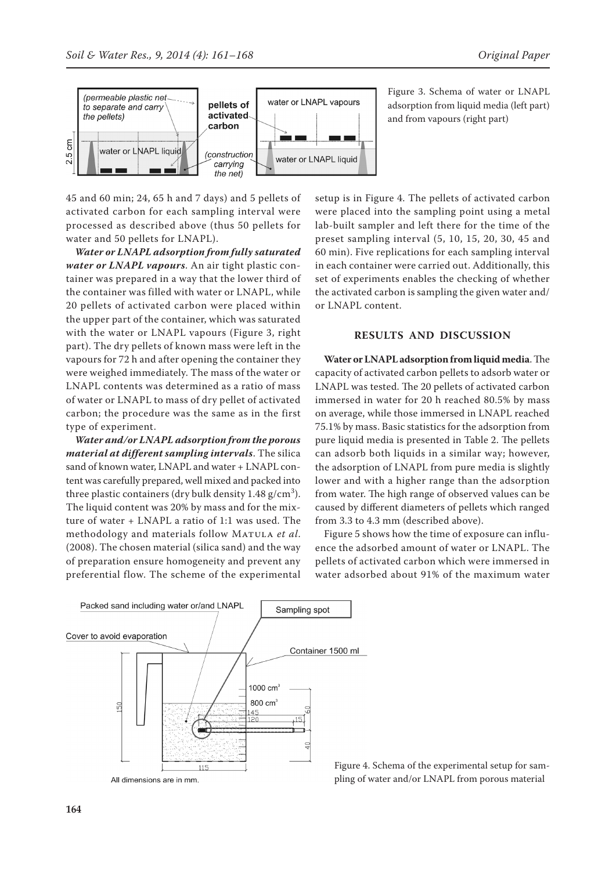

45 and 60 min; 24, 65 h and 7 days) and 5 pellets of activated carbon for each sampling interval were processed as described above (thus 50 pellets for water and 50 pellets for LNAPL).

*Water or LNAPL adsorption from fully saturated water or LNAPL vapours*. An air tight plastic container was prepared in a way that the lower third of the container was filled with water or LNAPL, while 20 pellets of activated carbon were placed within the upper part of the container, which was saturated with the water or LNAPL vapours (Figure 3, right part). The dry pellets of known mass were left in the vapours for 72 h and after opening the container they were weighed immediately. The mass of the water or LNAPL contents was determined as a ratio of mass of water or LNAPL to mass of dry pellet of activated carbon; the procedure was the same as in the first type of experiment.

*Water and/or LNAPL adsorption from the porous material at different sampling intervals*. The silica sand of known water, LNAPL and water + LNAPL content was carefully prepared, well mixed and packed into three plastic containers (dry bulk density  $1.48 \text{ g/cm}^3$ ). The liquid content was 20% by mass and for the mixture of water + LNAPL a ratio of 1:1 was used. The methodology and materials follow MATULA et al. (2008). The chosen material (silica sand) and the way of preparation ensure homogeneity and prevent any preferential flow. The scheme of the experimental

Figure 3. Schema of water or LNAPL adsorption from liquid media (left part) and from vapours (right part)

setup is in Figure 4. The pellets of activated carbon were placed into the sampling point using a metal lab-built sampler and left there for the time of the preset sampling interval (5, 10, 15, 20, 30, 45 and 60 min). Five replications for each sampling interval in each container were carried out. Additionally, this set of experiments enables the checking of whether the activated carbon is sampling the given water and/ or LNAPL content.

#### **RESULTS AND DISCUSSION**

**Water or LNAPL adsorption from liquid media**. The capacity of activated carbon pellets to adsorb water or LNAPL was tested. The 20 pellets of activated carbon immersed in water for 20 h reached 80.5% by mass on average, while those immersed in LNAPL reached 75.1% by mass. Basic statistics for the adsorption from pure liquid media is presented in Table 2. The pellets can adsorb both liquids in a similar way; however, the adsorption of LNAPL from pure media is slightly lower and with a higher range than the adsorption from water. The high range of observed values can be caused by different diameters of pellets which ranged from 3.3 to 4.3 mm (described above).

Figure 5 shows how the time of exposure can influence the adsorbed amount of water or LNAPL. The pellets of activated carbon which were immersed in water adsorbed about 91% of the maximum water



Figure 4. Schema of the experimental setup for sampling of water and/or LNAPL from porous material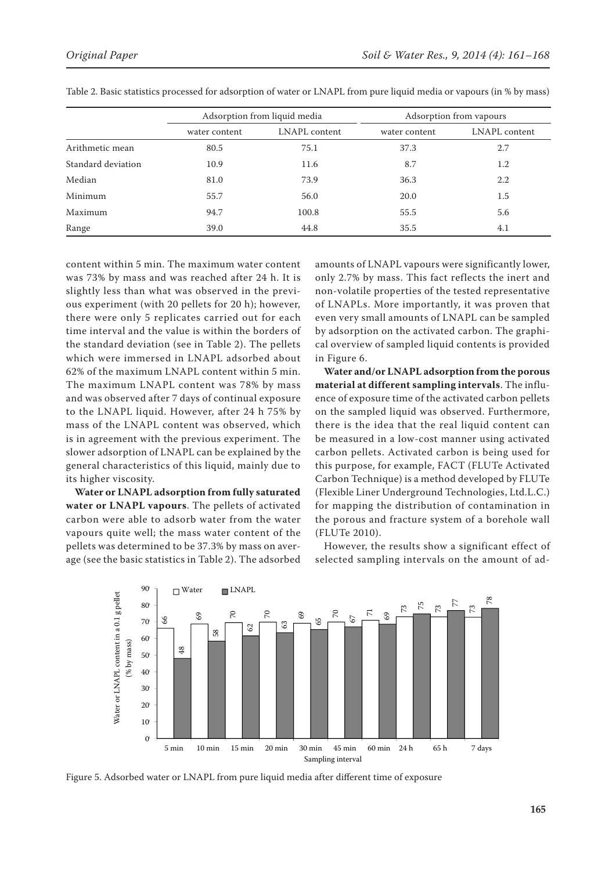|                    | Adsorption from liquid media |               | Adsorption from vapours |               |
|--------------------|------------------------------|---------------|-------------------------|---------------|
|                    | water content                | LNAPL content | water content           | LNAPL content |
| Arithmetic mean    | 80.5                         | 75.1          | 37.3                    | 2.7           |
| Standard deviation | 10.9                         | 11.6          | 8.7                     | 1.2           |
| Median             | 81.0                         | 73.9          | 36.3                    | 2.2           |
| Minimum            | 55.7                         | 56.0          | 20.0                    | 1.5           |
| Maximum            | 94.7                         | 100.8         | 55.5                    | 5.6           |
| Range              | 39.0                         | 44.8          | 35.5                    | 4.1           |

Table 2. Basic statistics processed for adsorption of water or LNAPL from pure liquid media or vapours (in % by mass)

content within 5 min. The maximum water content was 73% by mass and was reached after 24 h. It is slightly less than what was observed in the previous experiment (with 20 pellets for 20 h); however, there were only 5 replicates carried out for each time interval and the value is within the borders of the standard deviation (see in Table 2). The pellets which were immersed in LNAPL adsorbed about 62% of the maximum LNAPL content within 5 min. The maximum LNAPL content was 78% by mass and was observed after 7 days of continual exposure to the LNAPL liquid. However, after 24 h 75% by mass of the LNAPL content was observed, which is in agreement with the previous experiment. The slower adsorption of LNAPL can be explained by the general characteristics of this liquid, mainly due to its higher viscosity.

**Water or LNAPL adsorption from fully saturated**  water or LNAPL vapours. The pellets of activated refer to the water of the water<br>carbon were able to adsorb water from the water vapours quite well; the mass water content of the pellets was determined to be 37.3% by mass on average (see the basic statistics in Table 2). The adsorbed

amounts of LNAPL vapours were significantly lower, only 2.7% by mass. This fact reflects the inert and non-volatile properties of the tested representative of LNAPLs. More importantly, it was proven that even very small amounts of LNAPL can be sampled by adsorption on the activated carbon. The graphical overview of sampled liquid contents is provided in Figure 6.

**Water and/or LNAPL adsorption from the porous material at different sampling intervals**. The influence of exposure time of the activated carbon pellets on the sampled liquid was observed. Furthermore, there is the idea that the real liquid content can be measured in a low-cost manner using activated carbon pellets. Activated carbon is being used for this purpose, for example, FACT (FLUTe Activated Carbon Technique) is a method developed by FLUTe (Flexible Liner Underground Technologies, Ltd.L.C.) for mapping the distribution of contamination in the porous and fracture system of a borehole wall (FLUTe 2010).

However, the results show a significant effect of selected sampling intervals on the amount of ad-

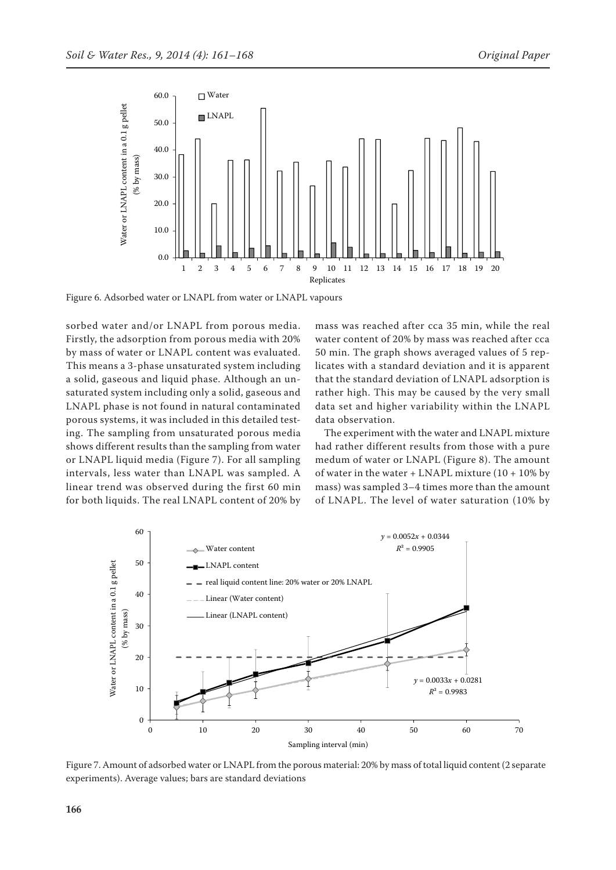

Figure 6. Adsorbed water or LNAPL from water or LNAPL vapours

sorbed water and/or LNAPL from porous media. Firstly, the adsorption from porous media with 20% by mass of water or LNAPL content was evaluated. This means a 3-phase unsaturated system including a solid, gaseous and liquid phase. Although an unsaturated system including only a solid, gaseous and LNAPL phase is not found in natural contaminated porous systems, it was included in this detailed testing. The sampling from unsaturated porous media shows different results than the sampling from water or LNAPL liquid media (Figure 7). For all sampling intervals, less water than LNAPL was sampled. A linear trend was observed during the first 60 min for both liquids. The real LNAPL content of 20% by mass was reached after cca 35 min, while the real water content of 20% by mass was reached after cca 50 min. The graph shows averaged values of 5 replicates with a standard deviation and it is apparent that the standard deviation of LNAPL adsorption is rather high. This may be caused by the very small data set and higher variability within the LNAPL data observation.

The experiment with the water and LNAPL mixture had rather different results from those with a pure medum of water or LNAPL (Figure 8). The amount of water in the water + LNAPL mixture (10 + 10% by mass) was sampled 3–4 times more than the amount of LNAPL. The level of water saturation (10% by



Figure 7. Amount of adsorbed water or LNAPL from the porous material: 20% by mass of total liquid content (2 separate experiments). Average values; bars are standard deviations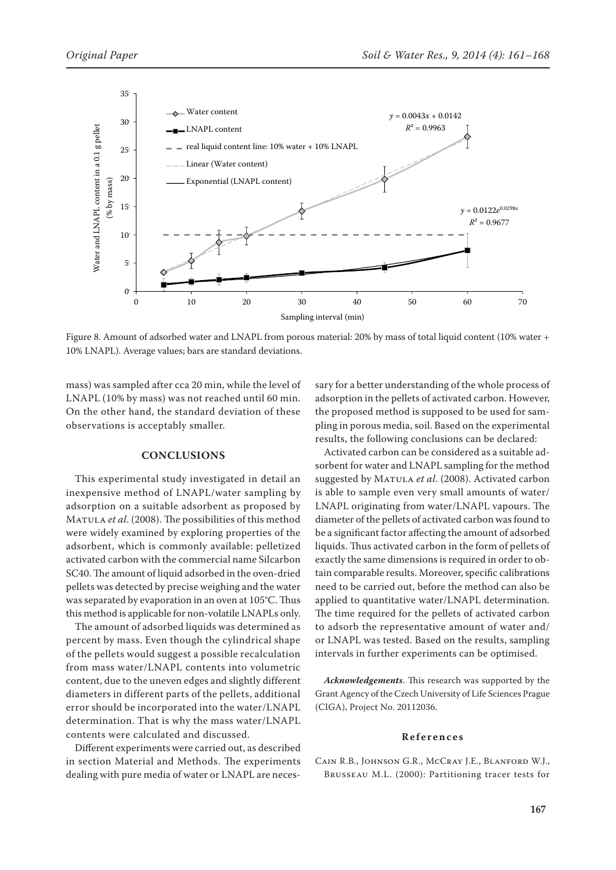

Figure 8. Amount of adsorbed water and LNAPL from porous material: 20% by mass of total liquid content (10% water + 10% LNAPL). Average values; bars are standard deviations.

mass) was sampled after cca 20 min, while the level of LNAPL (10% by mass) was not reached until 60 min. On the other hand, the standard deviation of these observations is acceptably smaller.

#### **CONCLUSIONS**

This experimental study investigated in detail an inexpensive method of LNAPL/water sampling by adsorption on a suitable adsorbent as proposed by Matula *et al*. (2008). The possibilities of this method were widely examined by exploring properties of the adsorbent, which is commonly available: pelletized activated carbon with the commercial name Silcarbon SC40. The amount of liquid adsorbed in the oven-dried pellets was detected by precise weighing and the water was separated by evaporation in an oven at 105°C. Thus this method is applicable for non-volatile LNAPLs only.

The amount of adsorbed liquids was determined as percent by mass. Even though the cylindrical shape of the pellets would suggest a possible recalculation from mass water/LNAPL contents into volumetric content, due to the uneven edges and slightly different diameters in different parts of the pellets, additional error should be incorporated into the water/LNAPL determination. That is why the mass water/LNAPL contents were calculated and discussed.

Different experiments were carried out, as described in section Material and Methods. The experiments dealing with pure media of water or LNAPL are neces-

sary for a better understanding of the whole process of adsorption in the pellets of activated carbon. However, the proposed method is supposed to be used for sampling in porous media, soil. Based on the experimental results, the following conclusions can be declared:

Activated carbon can be considered as a suitable adsorbent for water and LNAPL sampling for the method suggested by MATULA et al. (2008). Activated carbon is able to sample even very small amounts of water/ LNAPL originating from water/LNAPL vapours. The diameter of the pellets of activated carbon was found to be a significant factor affecting the amount of adsorbed liquids. Thus activated carbon in the form of pellets of exactly the same dimensions is required in order to obtain comparable results. Moreover, specific calibrations need to be carried out, before the method can also be applied to quantitative water/LNAPL determination. The time required for the pellets of activated carbon to adsorb the representative amount of water and/ or LNAPL was tested. Based on the results, sampling intervals in further experiments can be optimised.

*Acknowledgements*. This research was supported by the Grant Agency of the Czech University of Life Sciences Prague (CIGA), Project No. 20112036.

#### **References**

Cain R.B., Johnson G.R., McCray J.E., Blanford W.J., Brusseau M.L. (2000): Partitioning tracer tests for